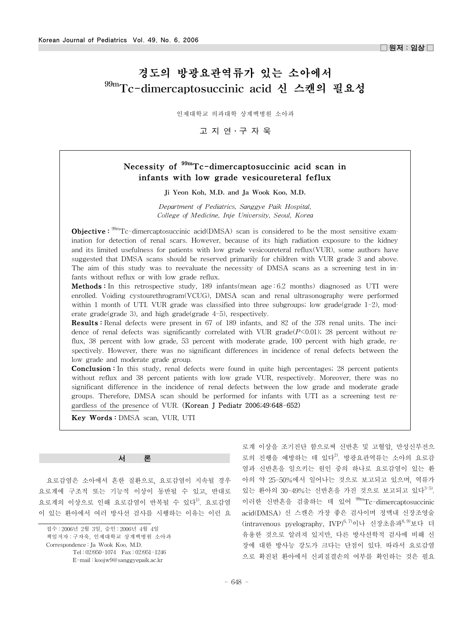# 경도의 방광요관역류가 있는 소아에서 99mTc-dimercaptosuccinic acid 신 스캔의 필요성

인제대학교 의과대학 상계백병원 소아과

고지연·구자욱

## Necessity of  $99<sup>99m</sup>Tc-dimercap to succinct acid scan in$ infants with low grade vesicoureteral feflux

Ji Yeon Koh, M.D. and Ja Wook Koo, M.D.

*Department of Pediatrics, Sanggye Paik Hospital, College of Medicine, Inje University, Seoul, Korea*

**Objective:**  $\frac{95m}{T}$ c-dimercaptosuccinic acid(DMSA) scan is considered to be the most sensitive examination for detection of renal scars. However, because of its high radiation exposure to the kidney and its limited usefulness for patients with low grade vesicoureteral reflux(VUR), some authors have suggested that DMSA scans should be reserved primarily for children with VUR grade 3 and above. The aim of this study was to reevaluate the necessity of DMSA scans as a screening test in infants without reflux or with low grade reflux.

**Methods**: In this retrospective study, 189 infants(mean age: 6.2 months) diagnosed as UTI were enrolled. Voiding cystourethrogram(VCUG), DMSA scan and renal ultrasonography were performed within 1 month of UTI. VUR grade was classified into three subgroups; low grade(grade  $1-2$ ), moderate grade(grade 3), and high grade(grade 4-5), respectively.

Results : Renal defects were present in 67 of 189 infants, and 82 of the 378 renal units. The incidence of renal defects was significantly correlated with VUR grade $(P<0.01)$ ; 28 percent without reflux, 38 percent with low grade, 53 percent with moderate grade, 100 percent with high grade, respectively. However, there was no significant differences in incidence of renal defects between the low grade and moderate grade group.

**Conclusion**: In this study, renal defects were found in quite high percentages; 28 percent patients without reflux and 38 percent patients with low grade VUR, respectively. Moreover, there was no significant difference in the incidence of renal defects between the low grade and moderate grade groups. Therefore, DMSA scan should be performed for infants with UTI as a screening test regardless of the presence of VUR. (Korean J Pediatr 2006;49:648-652)

Key Words : DMSA scan, VUR, UTI

#### 서 론

요로감염은 소아에서 흔한 질환으로, 요로감염이 지속될 경우 요로계에 구조적 또는 기능적 이상이 동반될 수 있고, 반대로 요로계의 이상으로 인해 요로감염이 반복될 수 있다<sup>1)</sup>. 요로감염 이 있는 환아에서 여러 방사선 검사를 시행하는 이유는 이런 요

접수 : 2006년 2월 3일, 승인 : 2006년 4월 4일 책임저자 : 구자욱, 인제대학교 상계백병원 소아과 Correspondence : Ja Wook Koo, M.D. Tel : 02)950-1074 Fax : 02)951-1246 E-mail : koojw9@sanggyepaik.ac.kr

로계 이상을 조기진단 함으로써 신반흔 및 고혈압, 만성신부전으 로의 진행을 예방하는 데 있다<sup>2)</sup>. 방광요관역류는 소아의 요로감 염과 신반흔을 일으키는 원인 중의 하나로 요로감염이 있는 환 아의 약 25-50%에서 일어나는 것으로 보고되고 있으며, 역류가 있는 환아의 30-49%는 신반흔을 가진 것으로 보고되고 있다<sup>3-5)</sup>. 이러한 신반흔을 검출하는 데 있어 <sup>99m</sup>Tc-dimercaptosuccinic acid(DMSA) 신 스캔은 가장 좋은 검사이며 정맥내 신장조영술 (intravenous pyelography, IVP)<sup>6, 7)</sup>이나 신장초음파<sup>8, 9)</sup>보다 더 유용한 것으로 알려져 있지만, 다른 방사선학적 검사에 비해 신 장에 대한 방사능 강도가 크다는 단점이 있다. 따라서 요로감염 으로 확진된 환아에서 신피질결손의 여부를 확인하는 것은 필요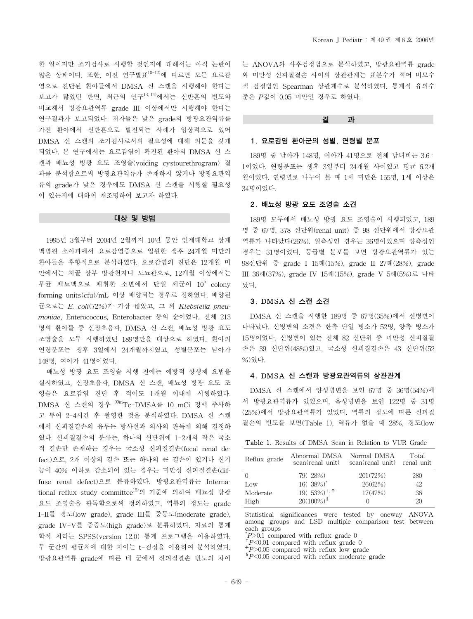한 일이지만 조기검사로 시행할 것인지에 대해서는 아직 논란이 많은 상태이다. 또한, 이전 연구발표10-12)에 따르면 모든 요로감 염으로 진단된 환아들에서 DMSA 신 스캔을 시행해야 한다는 보고가 많았던 반면, 최근의 연구13, 14)에서는 신반흔의 빈도와 비교해서 방광요관역류 grade III 이상에서만 시행해야 한다는 연구결과가 보고되었다. 저자들은 낮은 grade의 방광요관역류를 가진 환아에서 신반흔으로 발전되는 사례가 임상적으로 있어 DMSA 신 스캔의 조기검사로서의 필요성에 대해 의문을 갖게 되었다. 본 연구에서는 요로감염이 확진된 환아의 DMSA 신 스 캔과 배뇨성 방광 요도 조영술(voiding cystourethrogram) 결 과를 분석함으로써 방광요관역류가 존재하지 않거나 방광요관역 류의 grade가 낮은 경우에도 DMSA 신 스캔을 시행할 필요성 이 있는지에 대하여 재조명하여 보고자 하였다.

#### 대상 및 방법

1995년 3월부터 2004년 2월까지 10년 동안 인제대학교 상계 백병원 소아과에서 요로감염증으로 입원한 생후 24개월 미만의 환아들을 후향적으로 분석하였다. 요로감염의 진단은 12개월 미 만에서는 치골 상부 방광천자나 도뇨관으로, 12개월 이상에서는 무균 채뇨백으로 채취한 소변에서 단일 세균이  $10^5$  colony forming units(cfu)/mL 이상 배양되는 경우로 정하였다. 배양된 균으로는 *E. coli*(72%)가 가장 많았고, 그 외 *Klebsiella pneumoniae*, Enterococcus, Enterobacter 등의 순이었다. 전체 213 명의 환아들 중 신장초음파, DMSA 신 스캔, 배뇨성 방광 요도 조영술을 모두 시행하였던 189명만을 대상으로 하였다. 환아의 연령분포는 생후 3일에서 24개월까지였고, 성별분포는 남아가 148명, 여아가 41명이었다.

배뇨성 방광 요도 조영술 시행 전에는 예방적 항생제 요법을 실시하였고, 신장초음파, DMSA 신 스캔, 배뇨성 방광 요도 조 영술은 요로감염 진단 후 적어도 1개월 이내에 시행하였다. DMSA 신 스캔의 경우 99mTc-DMSA를 10 mCi 정맥 주사하 고 투여 2-4시간 후 촬영한 것을 분석하였다. DMSA 신 스캔 에서 신피질결손의 유무는 방사선과 의사의 판독에 의해 결정하 였다. 신피질결손의 분류는, 하나의 신단위에 1-2개의 작은 국소 적 결손만 존재하는 경우는 국소성 신피질결손(focal renal defect)으로, 2개 이상의 결손 또는 하나의 큰 결손이 있거나 신기 능이 40% 이하로 감소되어 있는 경우는 미만성 신피질결손(diffuse renal defect)으로 분류하였다. 방광요관역류는 International reflux study committee15)의 기준에 의하여 배뇨성 방광 요도 조영술을 판독함으로써 정의하였고, 역류의 정도는 grade I-II를 경도(low grade), grade III를 중등도(moderate grade), grade IV-V를 중증도(high grade)로 분류하였다. 자료의 통계 학적 처리는 SPSS(version 12.0) 통계 프로그램을 이용하였다. 두 군간의 평균치에 대한 차이는 t-검정을 이용하여 분석하였다. 방광요관역류 grade에 따른 네 군에서 신피질결손 빈도의 차이 는 ANOVA와 사후검정법으로 분석하였고, 방광요관역류 grade 와 미만성 신피질결손 사이의 상관관계는 표본수가 적어 비모수 적 검정법인 Spearman 상관계수로 분석하였다. 통계적 유의수 준은 *P*값이 0.05 미만인 경우로 하였다.

## 결 과

## 1. 요로감염 환아군의 성별, 연령별 분포

189명 중 남아가 148명, 여아가 41명으로 전체 남녀비는 3.6 : 1이었다. 연령분포는 생후 3일부터 24개월 사이였고 평균 6.2개 월이었다. 연령별로 나누어 볼 때 1세 미만은 155명, 1세 이상은 34명이었다.

#### 2. 배뇨성 방광 요도 조영술 소견

189명 모두에서 배뇨성 방광 요도 조영술이 시행되었고, 189 명 중 67명, 378 신단위(renal unit) 중 98 신단위에서 방광요관 역류가 나타났다(26%). 일측성인 경우는 36명이었으며 양측성인 경우는 31명이었다. 등급별 분포를 보면 방광요관역류가 있는 98신단위 중 grade I 15례(15%), grade II 27례(28%), grade III 36례(37%), grade IV 15례(15%), grade V 5례(5%)로 나타 났다.

## 3. DMSA 신 스캔 소견

DMSA 신 스캔을 시행한 189명 중 67명(35%)에서 신병변이 나타났다. 신병변의 소견은 한측 단일 병소가 52명, 양측 병소가 15명이었다. 신병변이 있는 전체 82 신단위 중 미만성 신피질결 손은 39 신단위(48%)였고, 국소성 신피질결손은 43 신단위(52 %)였다.

### 4. DMSA 신 스캔과 방광요관역류의 상관관계

DMSA 신 스캔에서 양성병변을 보인 67명 중 36명(54%)에 서 방광요관역류가 있었으며, 음성병변을 보인 122명 중 31명 (25%)에서 방광요관역류가 있었다. 역류의 정도에 따른 신피질 결손의 빈도를 보면(Table 1), 역류가 없을 때 28%, 경도(low

| <b>Table 1.</b> Results of DMSA Scan in Relation to VUR Grade |  |  |  |  |  |  |  |  |  |  |  |
|---------------------------------------------------------------|--|--|--|--|--|--|--|--|--|--|--|
|---------------------------------------------------------------|--|--|--|--|--|--|--|--|--|--|--|

| Reflux grade            | Abnormal DMSA<br>scan(renal unit)                                             | Normal DMSA<br>scan(renal unit) renal unit | Total                  |
|-------------------------|-------------------------------------------------------------------------------|--------------------------------------------|------------------------|
| Low<br>Moderate<br>High | 79(28%)<br>$16(38\%)^*$<br>$19(53\%)^{\dagger,+}$<br>$20(100\%)$ <sup>§</sup> | 201(72%)<br>26(62%)<br>17(47%)             | 280<br>42.<br>36<br>20 |

Statistical significances were tested by oneway ANOVA among groups and LSD multiple comparison test between each groups

 $\degree$ P>0.1 compared with reflux grade 0

<sup>†</sup>*P*<0.01 compared with reflux grade 0<br><sup>‡</sup>*P*>0.05 compared with reflux low grade §*P*<0.05 compared with reflux moderate grade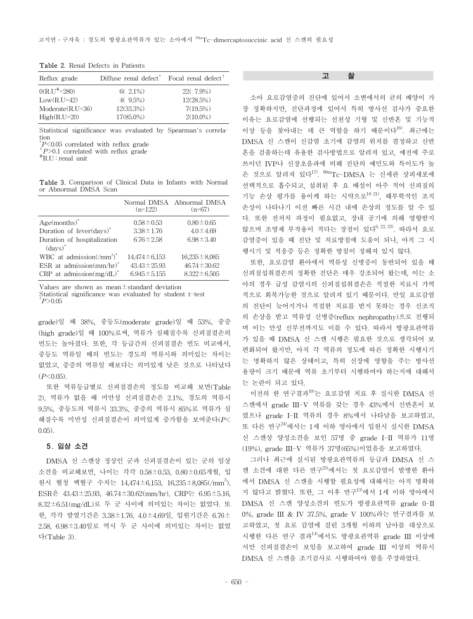7(19.5%) 2(10.0%)

| Reflux grade           | Diffuse renal defect <sup>"</sup> Focal renal defect <sup><math>†</math></sup> |           |
|------------------------|--------------------------------------------------------------------------------|-----------|
| $0(R.U^{\dagger}=280)$ | $6(2.1\%)$                                                                     | 22(7.9%)  |
| $Low(R.U=42)$          | $4(9.5\%)$                                                                     | 12(28.5%) |

Table 2. Renal Defects in Patients

Statistical significance was evaluated by Spearman's correlation

12(33.3%) 17(85.0%)

 $P<0.05$  correlated with reflux grade

<sup>†</sup>*P*>0.1 correlated with reflux grade <sup>†</sup>R.U : renal unit

Moderate(R.U=36) High(R.U=20)

Table 3. Comparison of Clinical Data in Infants with Normal or Abnormal DMSA Scan

|                                                             | $(n=122)$          | Normal DMSA Abnormal DMSA<br>$(n=67)$ |
|-------------------------------------------------------------|--------------------|---------------------------------------|
| $Age(months)^*$                                             | $0.58 \pm 0.53$    | $0.80 \pm 0.65$                       |
| Duration of fever(days)*                                    | $3.38 \pm 1.76$    | $4.0 \pm 4.69$                        |
| Duration of hospitalization<br>$\left(\text{days}\right)^*$ | $6.76 \pm 2.58$    | $6.98 \pm 3.40$                       |
| WBC at admission $(\text{/mm}^3)^*$                         | $14.474 \pm 6.153$ | $16,235 \pm 8,085$                    |
| ESR at admission $\text{(mm/hr)}^*$                         | $43.43 \pm 25.93$  | $46.74 \pm 30.62$                     |
| CRP at admission $(mg/dL)^*$                                | $6.945 \pm 5.155$  | $8.322 \pm 6.505$                     |

Values are shown as mean $\pm$ standard deviation Statistical significance was evaluated by student t-test \* *P*>0.05

grade)일 때 38%, 중등도(moderate grade)일 때 53%, 중증 (high grade)일 때 100%로써, 역류가 심해질수록 신피질결손의 빈도는 높아졌다. 또한, 각 등급간의 신피질결손 빈도 비교에서, 중등도 역류일 때의 빈도는 경도의 역류시와 의미있는 차이는 없었고, 중증의 역류일 때보다는 의미있게 낮은 것으로 나타났다 (*P*<0.05).

또한 역류등급별로 신피질결손의 정도를 비교해 보면(Table 2), 역류가 없을 때 미만성 신피질결손은 2.1%, 경도의 역류시 9.5%, 중등도의 역류시 33.3%, 중증의 역류시 85%로 역류가 심 해질수록 미만성 신피질결손이 의미있게 증가함을 보여준다(*P*< 0.05).

#### 5. 임상 소견

DMSA 신 스캔상 정상인 군과 신피질결손이 있는 군의 임상 소견을 비교해보면, 나이는 각각 0.58±0.53, 0.80±0.65개월, 입 원시 혈청 백혈구 수치는 14,474±6,153, 16,235±8,085(/mm3), ESR은 43.43±25.93, 46.74±30.62(mm/hr), CRP는 6.95±5.16, 8.32±6.51(mg/dL)로 두 군 사이에 의미있는 차이는 없었다. 또 한, 각각 발열기간은 3.38±1.76, 4.0±4.69일, 입원기간은 6.76± 2.58, 6.98±3.40일로 역시 두 군 사이에 의미있는 차이는 없었 다(Table 3).

#### 고 찰

소아 요로감염증의 진단에 있어서 소변에서의 균의 배양이 가 장 정확하지만, 진단과정에 있어서 특히 방사선 검사가 중요한 이유는 요로감염에 선행되는 선천성 기형 및 신반흔 및 기능적 이상 등을 찾아내는 데 큰 역할을 하기 때문이다<sup>16</sup>. 최근에는 DMSA 신 스캔이 신감염 초기에 감염의 위치를 결정하고 신반 흔을 검출하는데 유용한 검사방법으로 알려져 있고, 예전에 주로 쓰이던 IVP나 신장초음파에 비해 진단의 예민도와 특이도가 높 은 것으로 알려져 있다<sup>17)</sup>. <sup>99m</sup>Tc-DMSA 는 신세관 상피세포에 선택적으로 흡수되고, 섭취된 후 요 배설이 아주 적어 신피질의 기능 손상 평가를 용이케 하는 시약으로18-21), 해부학적인 조직 손상이 나타나기 이전 빠른 시간 내에 손상의 정도를 알 수 있 다. 또한 전처치 과정이 필요없고, 장내 공기에 의해 영향받지 않으며 조영제 부작용이 적다는 장점이 있다 $^{6, 22, 23)}$ . 따라서 요로 감염증이 있을 때 진단 및 치료방침에 도움이 되나, 아직 그 시 행시기 및 적응증 등은 정확한 방침이 정해져 있지 않다.

또한, 요로감염 환아에서 역류성 신병증이 동반되어 있을 때 신피질섭취결손의 정확한 진단은 매우 강조되어 왔는데, 이는 소 아의 경우 급성 감염시의 신피질섭취결손은 적절한 치료시 가역 적으로 회복가능한 것으로 알려져 있기 때문이다. 만일 요로감염 의 진단이 늦어지거나 적절한 치료를 받지 못하는 경우 신조직 의 손상을 받고 역류성 신병증(reflux nephropathy)으로 진행되 며 이는 만성 신부전까지도 이를 수 있다. 따라서 방광요관역류 가 있을 때 DMSA 신 스캔 시행은 필요한 것으로 생각되어 보 편화되어 왔지만, 아직 각 역류의 정도에 따른 정확한 시행시기 는 명확하지 않은 상태이고, 특히 신장에 영향을 주는 방사선 용량이 크기 때문에 역류 초기부터 시행하여야 하는지에 대해서 는 논란이 되고 있다.

이전의 한 연구결과<sup>10)</sup>는 요로감염 치료 후 실시한 DMSA 신 스캔에서 grade III-V 역류를 갖는 경우 43%에서 신반흔이 보 였으나 grade I-II 역류의 경우 8%에서 나타남을 보고하였고, 또 다른 연구 $^{24)}$ 에서는 1세 이하 영아에서 입원시 실시한 DMSA 신 스캔상 양성소견을 보인 57명 중 grade I-II 역류가 11명 (19%), grade III-V 역류가 37명(65%)이었음을 보고하였다.

그러나 최근에 실시된 방광요관역류의 등급과 DMSA 신 스 캔 소견에 대한 다른 연구<sup>25)</sup>에서는 첫 요로감염이 발병한 환아 에서 DMSA 신 스캔을 시행할 필요성에 대해서는 아직 명확하 지 않다고 밝혔다. 또한, 그 이후 연구13)에서 1세 이하 영아에서 DMSA 신 스캔 양성소견의 빈도가 방광요관역류 grade 0-II 0%, grade III & IV 37.5%, grade V 100%라는 연구결과를 보 고하였고, 첫 요로 감염에 걸린 3개월 이하의 남아를 대상으로 시행한 다른 연구 결과 $^{14)}$ 에서도 방광요관역류 grade III 이상에 서만 신피질결손이 보임을 보고하여 grade III 이상의 역류시 DMSA 신 스캔을 조기검사로 시행하여야 함을 주장하였다.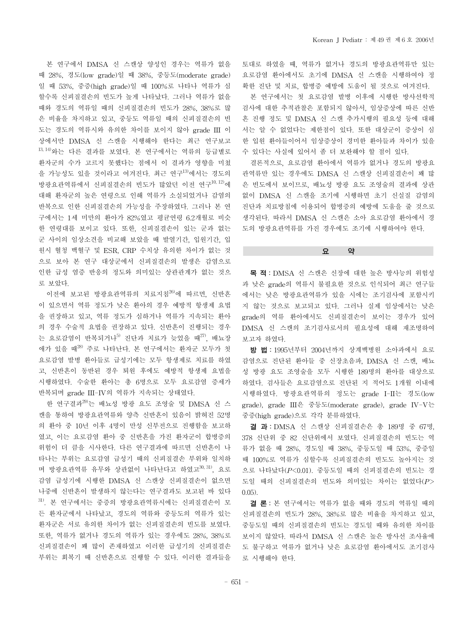본 연구에서 DMSA 신 스캔상 양성인 경우는 역류가 없을 때 28%, 경도(low grade)일 때 38%, 중등도(moderate grade) 일 때 53%, 중증(high grade)일 때 100%로 나타나 역류가 심 할수록 신피질결손의 빈도가 높게 나타났다. 그러나 역류가 없을 때와 경도의 역류일 때의 신피질결손의 빈도가 28%, 38%로 많 은 비율을 차지하고 있고, 중등도 역류일 때의 신피질결손의 빈 도는 경도의 역류시와 유의한 차이를 보이지 않아 grade III 이 상에서만 DMSA 신 스캔을 시행해야 한다는 최근 연구보고 13, 14)와는 다른 결과를 보였다. 본 연구에서는 역류의 등급별로 환자군의 수가 고르지 못했다는 점에서 이 결과가 영향을 미쳤 을 가능성도 있을 것이라고 여겨진다. 최근 연구13)에서는 경도의 방광요관역류에서 신피질결손의 빈도가 많았던 이전 연구10, 12)에 대해 환자군의 높은 연령으로 인해 역류가 소실되었거나 감염의 반복으로 인한 신피질결손의 가능성을 주장하였다. 그러나 본 연 구에서는 1세 미만의 환아가 82%였고 평균연령 6.2개월로 비슷 한 연령대를 보이고 있다. 또한, 신피질결손이 있는 군과 없는 군 사이의 임상소견을 비교해 보았을 때 발열기간, 입원기간, 입 원시 혈청 백혈구 및 ESR, CRP 수치상 유의한 차이가 없는 것 으로 보아 본 연구 대상군에서 신피질결손의 발생은 감염으로 인한 급성 염증 반응의 정도와 의미있는 상관관계가 없는 것으 로 보았다.

이전에 보고된 방광요관역류의 치료지침<sup>26)</sup>에 따르면, 신반흔 이 있으면서 역류 정도가 낮은 환아의 경우 예방적 항생제 요법 을 권장하고 있고, 역류 정도가 심하거나 역류가 지속되는 환아 의 경우 수술적 요법을 권장하고 있다. 신반흔이 진행되는 경우 는 요로감염이 반복되거나<sup>5)</sup> 진단과 치료가 늦었을 때<sup>27)</sup>, 배뇨장 애가 있을 때28) 주로 나타난다. 본 연구에서는 환자군 모두가 첫 요로감염 발병 환아들로 급성기에는 모두 항생제로 치료를 하였 고, 신반흔이 동반된 경우 퇴원 후에도 예방적 항생제 요법을 시행하였다. 수술한 환아는 총 6명으로 모두 요로감염 증세가 반복되며 grade III-IV의 역류가 지속되는 상태였다.

한 연구결과<sup>29)</sup>는 배뇨성 방광 요도 조영술 및 DMSA 신 스 캔을 통하여 방광요관역류와 양측 신반흔이 있음이 밝혀진 52명 의 환아 중 10년 이후 4명이 만성 신부전으로 진행함을 보고하 였고, 이는 요로감염 환아 중 신반흔을 가진 환자군이 합병증의 위험이 더 큼을 시사한다. 다른 연구결과에 따르면 신반흔이 나 타나는 부위는 요로감염 급성기 때의 신피질결손 부위와 일치하 며 방광요관역류 유무와 상관없이 나타난다고 하였고<sup>30, 31)</sup>, 요로 감염 급성기에 시행한 DMSA 신 스캔상 신피질결손이 없으면 나중에 신반흔이 발생하지 않는다는 연구결과도 보고된 바 있다 31). 본 연구에서는 중증의 방광요관역류시에는 신피질결손이 모 든 환자군에서 나타났고, 경도의 역류와 중등도의 역류가 있는 환자군은 서로 유의한 차이가 없는 신피질결손의 빈도를 보였다. 또한, 역류가 없거나 경도의 역류가 있는 경우에도 28%, 38%로 신피질결손이 꽤 많이 존재하였고 이러한 급성기의 신피질결손 부위는 회복기 때 신반흔으로 진행할 수 있다. 이러한 결과들을 토대로 하였을 때, 역류가 없거나 경도의 방광요관역류만 있는 요로감염 환아에서도 초기에 DMSA 신 스캔을 시행하여야 정 확한 진단 및 치료, 합병증 예방에 도움이 될 것으로 여겨진다.

본 연구에서는 첫 요로감염 발병 이후에 시행한 방사선학적 검사에 대한 추적관찰은 포함되지 않아서, 임상증상에 따른 신반 흔 진행 정도 및 DMSA 신 스캔 추가시행의 필요성 등에 대해 서는 알 수 없었다는 제한점이 있다. 또한 대상군이 증상이 심 한 입원 환아들이어서 임상증상이 경미한 환아들과 차이가 있을 수 있다는 사실에 있어서 좀 더 보완해야 할 점이 있다.

결론적으로, 요로감염 환아에서 역류가 없거나 경도의 방광요 관역류만 있는 경우에도 DMSA 신 스캔상 신피질결손이 꽤 많 은 빈도에서 보이므로, 배뇨성 방광 요도 조영술의 결과에 상관 없이 DMSA 신 스캔을 조기에 시행하면 초기 신실질 감염의 진단과 치료방침에 이용되어 합병증의 예방에 도움을 줄 것으로 생각된다. 따라서 DMSA 신 스캔은 소아 요로감염 환아에서 경 도의 방광요관역류를 가진 경우에도 조기에 시행하여야 한다.

#### 요 약

목 적: DMSA 신 스캔은 신장에 대한 높은 방사능의 위험성 과 낮은 grade의 역류시 불필요한 것으로 인식되어 최근 연구들 에서는 낮은 방광요관역류가 있을 시에는 조기검사에 포함시키 지 않는 것으로 보고되고 있다. 그러나 실제 임상에서는 낮은 grade의 역류 환아에서도 신피질결손이 보이는 경우가 있어 DMSA 신 스캔의 조기검사로서의 필요성에 대해 재조명하여 보고자 하였다.

방 법: 1995년부터 2004년까지 상계백병원 소아과에서 요로 감염으로 진단된 환아들 중 신장초음파, DMSA 신 스캔, 배뇨 성 방광 요도 조영술을 모두 시행한 189명의 환아를 대상으로 하였다. 검사들은 요로감염으로 진단된 지 적어도 1개월 이내에 시행하였다. 방광요관역류의 정도는 grade I-II는 경도(low grade), grade III은 중등도(moderate grade), grade IV-V는 중증(high grade)으로 각각 분류하였다.

결 과: DMSA 신 스캔상 신피질결손은 총 189명 중 67명, 378 신단위 중 82 신단위에서 보였다. 신피질결손의 빈도는 역 류가 없을 때 28%, 경도일 때 38%, 중등도일 때 53%, 중증일 때 100%로 역류가 심할수록 신피질결손의 빈도도 높아지는 것 으로 나타났다(*P*<0.01). 중등도일 때의 신피질결손의 빈도는 경 도일 때의 신피질결손의 빈도와 의미있는 차이는 없었다(*P*> 0.05).

결 론: 본 연구에서는 역류가 없을 때와 경도의 역류일 때의 신피질결손의 빈도가 28%, 38%로 많은 비율을 차지하고 있고, 중등도일 때의 신피질결손의 빈도는 경도일 때와 유의한 차이를 보이지 않았다. 따라서 DMSA 신 스캔은 높은 방사선 조사율에 도 불구하고 역류가 없거나 낮은 요로감염 환아에서도 조기검사 로 시행해야 한다.